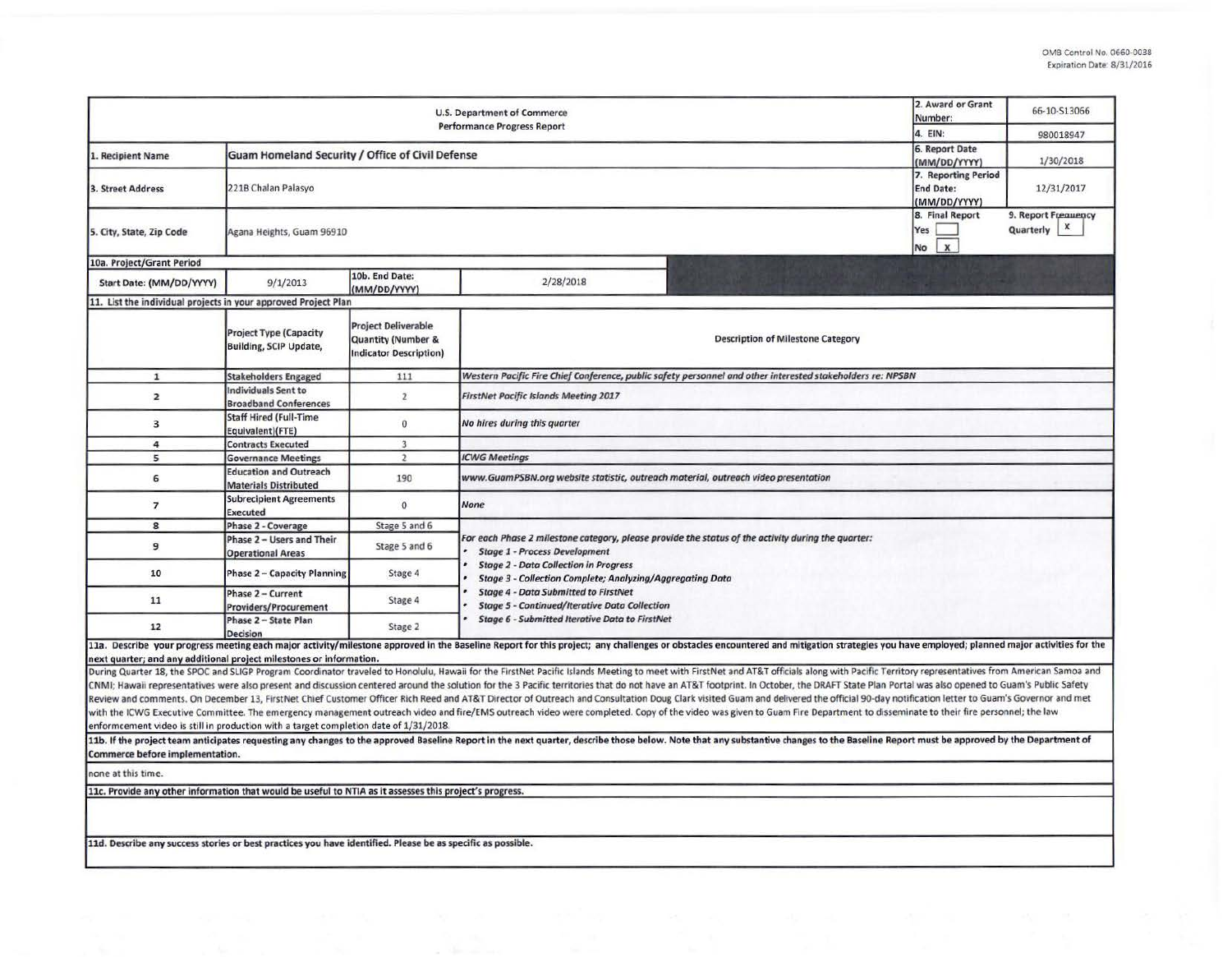|                                                                                                             | 2. Award or Grant<br>Number:<br>4. EIN:                        | 66-10-S13066<br>980018947                                                                    |                                                                                                                                                                                                                         |                                                                                                                                                                                                                                |  |  |  |  |  |  |  |
|-------------------------------------------------------------------------------------------------------------|----------------------------------------------------------------|----------------------------------------------------------------------------------------------|-------------------------------------------------------------------------------------------------------------------------------------------------------------------------------------------------------------------------|--------------------------------------------------------------------------------------------------------------------------------------------------------------------------------------------------------------------------------|--|--|--|--|--|--|--|
| 1. Recipient Name                                                                                           | Guam Homeland Security / Office of Civil Defense               | 6. Report Date                                                                               |                                                                                                                                                                                                                         |                                                                                                                                                                                                                                |  |  |  |  |  |  |  |
| 3. Street Address                                                                                           | 221B Chalan Palasyo                                            |                                                                                              | (MM/DD/YYYY)<br>7. Reporting Period<br><b>End Date:</b><br>(MM/DD/YYYY)                                                                                                                                                 | 1/30/2018<br>12/31/2017                                                                                                                                                                                                        |  |  |  |  |  |  |  |
| 5. City, State, Zip Code                                                                                    | Agana Heights, Guam 96910                                      |                                                                                              | 8. Final Report<br>Yes<br>$\mathbf{x}$<br>No                                                                                                                                                                            | 9. Report Frequency<br>X<br>Quarterly                                                                                                                                                                                          |  |  |  |  |  |  |  |
| 10a. Project/Grant Period                                                                                   |                                                                |                                                                                              |                                                                                                                                                                                                                         |                                                                                                                                                                                                                                |  |  |  |  |  |  |  |
| Start Date: (MM/DD/YYYY)                                                                                    | 9/1/2013                                                       | 10b. End Date:<br>(MM/DD/YYYY)                                                               | 2/28/2018                                                                                                                                                                                                               |                                                                                                                                                                                                                                |  |  |  |  |  |  |  |
| 11. List the individual projects in your approved Project Plan                                              |                                                                |                                                                                              |                                                                                                                                                                                                                         |                                                                                                                                                                                                                                |  |  |  |  |  |  |  |
|                                                                                                             | <b>Project Type (Capacity</b><br><b>Building, SCIP Update,</b> | <b>Project Deliverable</b><br><b>Quantity (Number &amp;</b><br><b>Indicator Description)</b> |                                                                                                                                                                                                                         | <b>Description of Milestone Category</b>                                                                                                                                                                                       |  |  |  |  |  |  |  |
| 1                                                                                                           | <b>Stakeholders Engaged</b>                                    | 111                                                                                          |                                                                                                                                                                                                                         | Western Pacific Fire Chief Conference, public safety personnel and other interested stakeholders re: NPSBN                                                                                                                     |  |  |  |  |  |  |  |
| $\overline{2}$                                                                                              | Individuals Sent to<br><b>Broadband Conferences</b>            | $\overline{2}$                                                                               | <b>FirstNet Pacific Islands Meeting 2017</b>                                                                                                                                                                            |                                                                                                                                                                                                                                |  |  |  |  |  |  |  |
| $\overline{\mathbf{3}}$                                                                                     | <b>Staff Hired (Full-Time</b><br>Equivalent)(FTE)              | $\mathbf{0}$                                                                                 | No hires during this quarter                                                                                                                                                                                            |                                                                                                                                                                                                                                |  |  |  |  |  |  |  |
| 4                                                                                                           | <b>Contracts Executed</b>                                      | $\overline{3}$                                                                               |                                                                                                                                                                                                                         |                                                                                                                                                                                                                                |  |  |  |  |  |  |  |
| 5                                                                                                           | <b>Governance Meetings</b>                                     | $\overline{2}$                                                                               | <b>ICWG Meetings</b>                                                                                                                                                                                                    |                                                                                                                                                                                                                                |  |  |  |  |  |  |  |
| 6                                                                                                           | <b>Education and Outreach</b><br><b>Materials Distributed</b>  | 190                                                                                          | www.GuamPSBN.org website statistic, outreach material, outreach video presentation<br><b>None</b>                                                                                                                       |                                                                                                                                                                                                                                |  |  |  |  |  |  |  |
| $\overline{ }$                                                                                              | <b>Subrecipient Agreements</b><br><b>Executed</b>              | $\Omega$                                                                                     |                                                                                                                                                                                                                         |                                                                                                                                                                                                                                |  |  |  |  |  |  |  |
| 8                                                                                                           | Phase 2 - Coverage                                             | Stage 5 and 6                                                                                |                                                                                                                                                                                                                         |                                                                                                                                                                                                                                |  |  |  |  |  |  |  |
| 9                                                                                                           | Phase 2 - Users and Their<br><b>Operational Areas</b>          | Stage 5 and 6                                                                                | For each Phase 2 milestone category, please provide the status of the activity during the quarter:<br><b>Stage 1 - Process Development</b>                                                                              |                                                                                                                                                                                                                                |  |  |  |  |  |  |  |
| 10                                                                                                          | <b>Phase 2 - Capacity Planning</b>                             | Stage 4                                                                                      | <b>Stage 2 - Data Collection in Progress</b><br><b>Stage 3 - Collection Complete; Analyzing/Aggregating Data</b><br><b>Stage 4 - Data Submitted to FirstNet</b><br><b>Stage 5 - Continued/Iterative Data Collection</b> |                                                                                                                                                                                                                                |  |  |  |  |  |  |  |
| 11                                                                                                          | Phase 2 - Current<br><b>Providers/Procurement</b>              | Stage 4                                                                                      |                                                                                                                                                                                                                         |                                                                                                                                                                                                                                |  |  |  |  |  |  |  |
| 12                                                                                                          | Phase 2 - State Plan<br><b>Decision</b>                        | Stage 2                                                                                      | <b>Stage 6 - Submitted Iterative Data to FirstNet</b>                                                                                                                                                                   |                                                                                                                                                                                                                                |  |  |  |  |  |  |  |
|                                                                                                             |                                                                |                                                                                              |                                                                                                                                                                                                                         | 11a. Describe your progress meeting each major activity/milestone approved in the Baseline Report for this project; any challenges or obstacles encountered and mitigation strategies you have employed; planned major activit |  |  |  |  |  |  |  |
| next quarter; and any additional project milestones or information.                                         |                                                                |                                                                                              |                                                                                                                                                                                                                         | During Quarter 18, the SPOC and SLIGP Program Coordinator traveled to Honolulu, Hawaii for the FirstNet Pacific Islands Meeting to meet with FirstNet and AT&T officials along with Pacific Territory representatives from Ame |  |  |  |  |  |  |  |
|                                                                                                             |                                                                |                                                                                              |                                                                                                                                                                                                                         | CNMI; Hawaii representatives were also present and discussion centered around the solution for the 3 Pacific territories that do not have an AT&T footprint. In October, the DRAFT State Plan Portal was also opened to Guam's |  |  |  |  |  |  |  |
|                                                                                                             |                                                                |                                                                                              |                                                                                                                                                                                                                         | Review and comments. On December 13, FirstNet Chief Customer Officer Rich Reed and AT&T Director of Outreach and Consultation Doug Clark visited Guam and delivered the official 90-day notification letter to Guam's Governor |  |  |  |  |  |  |  |
|                                                                                                             |                                                                |                                                                                              |                                                                                                                                                                                                                         | with the ICWG Executive Committee. The emergency management outreach video and fire/EMS outreach video were completed. Copy of the video was given to Guam Fire Department to disseminate to their fire personnel; the law     |  |  |  |  |  |  |  |
| enformcement video is still in production with a target completion date of 1/31/2018.                       |                                                                |                                                                                              |                                                                                                                                                                                                                         |                                                                                                                                                                                                                                |  |  |  |  |  |  |  |
| Commerce before implementation.                                                                             |                                                                |                                                                                              |                                                                                                                                                                                                                         | 11b. If the project team anticipates requesting any changes to the approved Baseline Report in the next quarter, describe those below. Note that any substantive changes to the Baseline Report must be approved by the Depart |  |  |  |  |  |  |  |
| none at this time.                                                                                          |                                                                |                                                                                              |                                                                                                                                                                                                                         |                                                                                                                                                                                                                                |  |  |  |  |  |  |  |
| 11c. Provide any other information that would be useful to NTIA as it assesses this project's progress.     |                                                                |                                                                                              |                                                                                                                                                                                                                         |                                                                                                                                                                                                                                |  |  |  |  |  |  |  |
|                                                                                                             |                                                                |                                                                                              |                                                                                                                                                                                                                         |                                                                                                                                                                                                                                |  |  |  |  |  |  |  |
| 11d. Describe any success stories or best practices you have identified. Please be as specific as possible. |                                                                |                                                                                              |                                                                                                                                                                                                                         |                                                                                                                                                                                                                                |  |  |  |  |  |  |  |